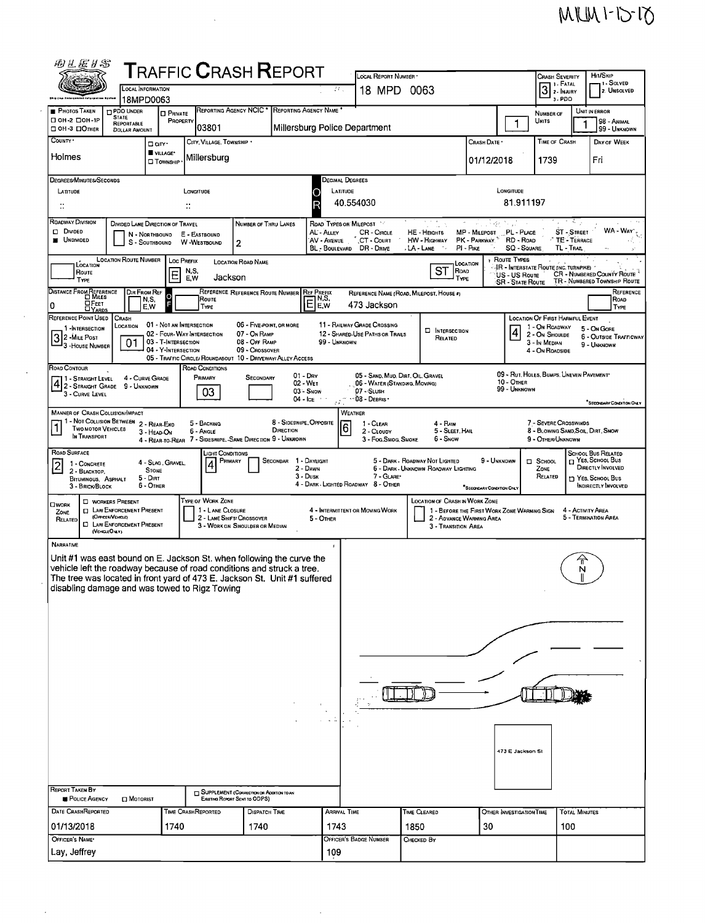| 羽兰医牙宫                                                                                                                                                                                                                                                                         |                                                                                                                        |                                                                                                      |                                  |                                       | ${\sf T}$ RAFFIC ${\sf C}$ RASH ${\sf R}$ EPORT                                  |                                            |                                                                                                                   |                                                                            |                                                   |                                                                                                                                         |                                                                     |                                                                                   |                                                        | HIT/SKIP                                                    |  |
|-------------------------------------------------------------------------------------------------------------------------------------------------------------------------------------------------------------------------------------------------------------------------------|------------------------------------------------------------------------------------------------------------------------|------------------------------------------------------------------------------------------------------|----------------------------------|---------------------------------------|----------------------------------------------------------------------------------|--------------------------------------------|-------------------------------------------------------------------------------------------------------------------|----------------------------------------------------------------------------|---------------------------------------------------|-----------------------------------------------------------------------------------------------------------------------------------------|---------------------------------------------------------------------|-----------------------------------------------------------------------------------|--------------------------------------------------------|-------------------------------------------------------------|--|
|                                                                                                                                                                                                                                                                               | <b>LOCAL INFORMATION</b>                                                                                               |                                                                                                      |                                  |                                       |                                                                                  |                                            | $\mathcal{L} \mathcal{L}$                                                                                         | LOCAL REPORT NUMBER<br>18 MPD                                              | 0063                                              |                                                                                                                                         |                                                                     | <b>CRASH SEVERITY</b><br>1 - Solved<br>1 1 - Fatal<br>$3$ : Injury<br>2. UNSOLVED |                                                        |                                                             |  |
|                                                                                                                                                                                                                                                                               | 18MPD0063                                                                                                              |                                                                                                      |                                  |                                       |                                                                                  |                                            |                                                                                                                   |                                                                            |                                                   |                                                                                                                                         |                                                                     |                                                                                   | 3-PDO                                                  |                                                             |  |
| <b>PHOTOS TAKEN</b><br>□ ОН-2 □ ОН-1Р                                                                                                                                                                                                                                         | <b>D PDO UNDER</b><br><b>STATE</b><br>REPORTABLE                                                                       | <b>D</b> PRIVATE                                                                                     | PROPERTY                         |                                       | REPORTING AGENCY NCIC * REPORTING AGENCY NAME                                    |                                            |                                                                                                                   |                                                                            |                                                   |                                                                                                                                         | 1                                                                   | NUMBER OF<br>Units                                                                |                                                        | UNIT IN ERROR<br>98 - Animal                                |  |
| □ 0H-3 □ Отнєя<br>COUNTY <sup>.</sup>                                                                                                                                                                                                                                         | <b>DOLLAR AMOUNT</b>                                                                                                   | □ arr·                                                                                               |                                  | 03801<br>CITY, VILLAGE, TOWNSHIP .    |                                                                                  |                                            |                                                                                                                   | Millersburg Police Department                                              |                                                   | Crash Date •                                                                                                                            |                                                                     | <b>TIME OF CRASH</b>                                                              |                                                        | 99 - UNKNOWN<br>DAY OF WEEK                                 |  |
| Holmes                                                                                                                                                                                                                                                                        |                                                                                                                        | VILLAGE*<br><b>TOWNSHIP</b>                                                                          |                                  | Millersburg                           |                                                                                  |                                            |                                                                                                                   |                                                                            |                                                   | 01/12/2018                                                                                                                              |                                                                     | 1739                                                                              |                                                        | Fri                                                         |  |
| DEGREES/MINUTES/SECONDS                                                                                                                                                                                                                                                       |                                                                                                                        |                                                                                                      |                                  |                                       |                                                                                  |                                            |                                                                                                                   | Decimal Degrees                                                            |                                                   |                                                                                                                                         |                                                                     |                                                                                   |                                                        |                                                             |  |
| LATITUDE<br>LONGITUDE<br>$\ddot{\phantom{a}}$<br>÷.                                                                                                                                                                                                                           |                                                                                                                        |                                                                                                      |                                  |                                       |                                                                                  |                                            | LATITUDE<br>LONGITUDE<br>81.911197<br>40.554030                                                                   |                                                                            |                                                   |                                                                                                                                         |                                                                     |                                                                                   |                                                        |                                                             |  |
| ROADWAY DIVISION                                                                                                                                                                                                                                                              |                                                                                                                        |                                                                                                      |                                  |                                       |                                                                                  |                                            | والأستاني<br>ROAD TYPES OR MILEPOST                                                                               |                                                                            |                                                   |                                                                                                                                         |                                                                     |                                                                                   |                                                        |                                                             |  |
| Divideo<br><b>UNDIVIDED</b>                                                                                                                                                                                                                                                   | DIVIDED LANE DIRECTION OF TRAVEL                                                                                       | N - NORTHBOUND<br>S - SOUTHBOUND                                                                     | E - EASTBOUND<br>W-WESTBOUND     |                                       | NUMBER OF THRU LANES<br>2                                                        |                                            | AL - ALLEY<br>AV - AVENUE                                                                                         | <b>CR-CIRCLE</b><br>CT - Court<br>BL - BOULEVARD DR - DRIVE                | tritik<br>HE-HEIGHTS<br>HW - HIGHWAY<br>LA - LANE | アルバタ<br>MP - MILEPOST PL - PLACE<br>PK - PARKWAY<br>PI - Pixe                                                                           | RD - ROAD                                                           | <b>SQ - SQUARE</b>                                                                | <b>ST-STREET</b><br>$\cdot$ TE - TERRACE<br>TL - TRAIL | WA - WAY',                                                  |  |
| LOCATION<br>ROUTE<br>TYPE                                                                                                                                                                                                                                                     | <b>LOCATION ROUTE NUMBER</b>                                                                                           | Е                                                                                                    | <b>LOC PREFIX</b><br>N,S,<br>E,W | Jackson                               | LOCATION ROAD NAME                                                               |                                            |                                                                                                                   |                                                                            | ST                                                | LOCATION<br>ROAD<br><b>TYPE</b>                                                                                                         | <b>ROUTE TYPES</b><br><b>US-US Route</b><br><b>SR - State Route</b> | IR - INTERSTATE ROUTE (INC. TURNPIKE)                                             |                                                        | CR - NUMBERED COUNTY ROUTE<br>TR - NUMBERED TOWNSHIP ROUTE  |  |
| DISTANCE FROM REFERENCE<br>OFEET                                                                                                                                                                                                                                              |                                                                                                                        | DIR FROM REF<br>N,S,                                                                                 |                                  | Route                                 | REFERENCE REFERENCE ROUTE NUMBER REF PREFIX                                      |                                            | N,S,                                                                                                              | REFERENCE NAME (ROAD, MILEPOST, HOUSE #)                                   |                                                   |                                                                                                                                         |                                                                     |                                                                                   |                                                        | REFERENCE<br>ROAD                                           |  |
| 0<br><b>DYARDS</b><br>REFERENCE POINT USED                                                                                                                                                                                                                                    | <b>CRASH</b>                                                                                                           | E.W                                                                                                  |                                  | TYPE                                  |                                                                                  |                                            | E,W                                                                                                               | 473 Jackson                                                                |                                                   |                                                                                                                                         |                                                                     | <b>LOCATION OF FIRST HARMFUL EVENT</b>                                            |                                                        | <b>TYPE</b>                                                 |  |
| 1-INTERSECTION<br>$32$ -Mile Post<br><sup>1</sup> 3 HOUSE NUMBER                                                                                                                                                                                                              | LOCATION<br>01                                                                                                         | 01 - NOT AN INTERSECTION<br>02 - FOUR-WAY INTERSECTION<br>03 - T-INTERSECTION<br>04 - Y-INTERSECTION |                                  |                                       | 06 - FIVE POINT, OR MORE<br>07 - On RAMP<br>08 - Off RAMP<br>09 - CROSSOVER      |                                            | 99 - UNKNOWN                                                                                                      | 11 - RAILWAY GRADE CROSSING<br>12 - SHARED-USE PATHS OR TRAILS             | <b>LI INTERSECTION</b><br>RELATED                 |                                                                                                                                         | 4                                                                   | 1 - On ROADWAY<br>2 - On Shoulde<br>3 - In MEDIAN<br>4 - On ROADSIDE              |                                                        | 5 - On Gore<br><b>6 - OUTSIDE TRAFFICWAY</b><br>9 - UNKNOWN |  |
| ROAD CONTOUR                                                                                                                                                                                                                                                                  |                                                                                                                        |                                                                                                      |                                  | ROAD CONDITIONS                       | 05 - TRAFFIC CIRCLE/ ROUNDABOUT 10 - DRIVEWAY/ ALLEY ACCESS                      |                                            |                                                                                                                   |                                                                            |                                                   |                                                                                                                                         |                                                                     |                                                                                   |                                                        |                                                             |  |
| 11 - Straight Level<br>1 - STRAIGHT LEVEL 4 - CURVE CH<br>3 - CURVE LEVEL                                                                                                                                                                                                     | 4 - CURVE GRADE                                                                                                        |                                                                                                      |                                  | PRIMARY<br>03                         | SECONDARY                                                                        | $01 - \text{Dry}$<br>02 - WET<br>03 - Snow | 04 - Ice + +                                                                                                      | 06 - WATER (STANDING, MOVING)<br>07 - SLUSH<br>$\cdot$ 08 - Dearns $\cdot$ | 05 - SAND, MUD, DIRT, OIL, GRAVEL                 |                                                                                                                                         | 10 - OTHER<br>99 - UNKNOWN                                          | 09 - RUT, HOLES, BUMPS, UNEVEN PAVEMENT                                           |                                                        |                                                             |  |
| <b>MANNER OF CRASH COLLISION/IMPACT</b>                                                                                                                                                                                                                                       |                                                                                                                        |                                                                                                      |                                  |                                       |                                                                                  |                                            |                                                                                                                   | WEATHER                                                                    |                                                   |                                                                                                                                         |                                                                     |                                                                                   |                                                        | <sup>*</sup> SECONDARY CONDITION ONLY                       |  |
| $\mathbf{1}$<br><b>TWO MOTOR VEHICLES</b><br>In TRANSPORT                                                                                                                                                                                                                     | - NOT COLUSION BETWEEN 2 - REAR-END                                                                                    | 3 - HEAD-ON                                                                                          |                                  | 5 - BACKING<br>6 - Angle              | 4 - REAR-TO-REAR 7 - SIDESWIPE, -SAME DIRECTION 9 - UNKNOWN                      | 8 - SIDESWIPE, OPPOSITE<br>DIRECTION       |                                                                                                                   | 1 - CLEAR<br>$\overline{6}$<br>2 - CLOUDY<br>3 - Fog, Smog, Smoke          | $4 -$ Rain<br>6 - Snow                            | 5 - SLEET, HAIL                                                                                                                         |                                                                     | 7 - SEVERE CROSSWINDS<br>9 - Other/Unknown                                        |                                                        | 8 - Blowing Sand, Soil, Dirt, Snow                          |  |
| ROAD SURFACE<br>1 - CONCRETE                                                                                                                                                                                                                                                  |                                                                                                                        | 4 - SLAG, GRAVEL,                                                                                    |                                  | JGHT CONDITIONS<br>PRIMARY            |                                                                                  | SECONDAR 1 - DAYLIGHT                      |                                                                                                                   |                                                                            | 5 - DARK - ROADWAY NOT LIGHTED                    |                                                                                                                                         | 9 - UNKNOWN                                                         | $\Box$ SCHOOL                                                                     |                                                        | SCHOOL BUS RELATED<br><sub>□</sub> Yes, School Bus          |  |
| 4<br>$\vert$ 2<br><b>STONE</b><br>2 - BLACKTOP,<br>$5 -$ Dirt<br>BITUMINOUS, ASPHALT<br>6 - OTHER<br>3 - BRICK/BLOCK                                                                                                                                                          |                                                                                                                        |                                                                                                      |                                  |                                       |                                                                                  |                                            | 2 - DAWN<br>6 - DARK - UNKNOWN ROADWAY LIGHTING<br>3 - Dusk<br>7 - GLARE*<br>4 - DARK - LIGHTED ROADWAY 8 - OTHER |                                                                            |                                                   |                                                                                                                                         | ZONE<br>RELATED<br>"SECONDARY CONDITION ONLY                        |                                                                                   |                                                        | DIRECTLY INVOLVED<br>YES, SCHOOL BUS<br>INDIRECTLY INVOLVED |  |
| <b>OWORK</b><br>ZONE<br>RELATED                                                                                                                                                                                                                                               | <b>L WORKERS PRESENT</b><br><b>ID LAW ENFORCEMENT PRESENT</b><br>(Orrets/Viscolin<br><b>CI LAW ENFORCEMENT PRESENT</b> |                                                                                                      |                                  | TYPE OF WORK ZONE<br>1 - LANE CLOSURE | 2 - LANE SHIFT/ CROSSOVER<br>3 - WORK ON SHOULDER OR MEDIAN                      |                                            | 5 - OTHER                                                                                                         | 4 - INTERMITTENT OR MOVING WORK                                            |                                                   | <b>LOCATION OF CRASH IN WORK ZONE</b><br>1 - BEFORE THE FIRST WORK ZONE WARNING SIGN<br>2 - ADVANCE WARNING AREA<br>3 - TRANSITION AREA |                                                                     |                                                                                   |                                                        | 4 - ACTIVITY AREA<br>5 - Termination Area                   |  |
| <b>NARRATIVE</b>                                                                                                                                                                                                                                                              | (VEKGLEONLY)                                                                                                           |                                                                                                      |                                  |                                       |                                                                                  |                                            |                                                                                                                   |                                                                            |                                                   |                                                                                                                                         |                                                                     |                                                                                   |                                                        |                                                             |  |
| Unit #1 was east bound on E. Jackson St. when following the curve the<br>vehicle left the roadway because of road conditions and struck a tree.<br>The tree was located in front yard of 473 E. Jackson St. Unit #1 suffered<br>disabling damage and was towed to Rigz Towing |                                                                                                                        |                                                                                                      |                                  |                                       |                                                                                  |                                            |                                                                                                                   |                                                                            |                                                   |                                                                                                                                         |                                                                     |                                                                                   | N                                                      |                                                             |  |
|                                                                                                                                                                                                                                                                               |                                                                                                                        |                                                                                                      |                                  |                                       |                                                                                  |                                            |                                                                                                                   |                                                                            |                                                   |                                                                                                                                         |                                                                     |                                                                                   |                                                        |                                                             |  |
|                                                                                                                                                                                                                                                                               |                                                                                                                        |                                                                                                      |                                  |                                       |                                                                                  |                                            |                                                                                                                   |                                                                            |                                                   |                                                                                                                                         |                                                                     |                                                                                   |                                                        |                                                             |  |
|                                                                                                                                                                                                                                                                               |                                                                                                                        |                                                                                                      |                                  |                                       |                                                                                  |                                            |                                                                                                                   |                                                                            |                                                   |                                                                                                                                         |                                                                     |                                                                                   |                                                        |                                                             |  |
|                                                                                                                                                                                                                                                                               |                                                                                                                        |                                                                                                      |                                  |                                       |                                                                                  |                                            |                                                                                                                   |                                                                            |                                                   |                                                                                                                                         |                                                                     |                                                                                   |                                                        |                                                             |  |
|                                                                                                                                                                                                                                                                               |                                                                                                                        |                                                                                                      |                                  |                                       |                                                                                  |                                            |                                                                                                                   |                                                                            |                                                   |                                                                                                                                         |                                                                     |                                                                                   |                                                        |                                                             |  |
|                                                                                                                                                                                                                                                                               |                                                                                                                        |                                                                                                      |                                  |                                       |                                                                                  |                                            |                                                                                                                   |                                                                            |                                                   |                                                                                                                                         |                                                                     |                                                                                   |                                                        |                                                             |  |
|                                                                                                                                                                                                                                                                               |                                                                                                                        |                                                                                                      |                                  |                                       |                                                                                  |                                            |                                                                                                                   |                                                                            |                                                   |                                                                                                                                         |                                                                     |                                                                                   |                                                        |                                                             |  |
|                                                                                                                                                                                                                                                                               |                                                                                                                        |                                                                                                      |                                  |                                       |                                                                                  |                                            |                                                                                                                   |                                                                            |                                                   |                                                                                                                                         | 473 E Jackson St                                                    |                                                                                   |                                                        |                                                             |  |
|                                                                                                                                                                                                                                                                               |                                                                                                                        |                                                                                                      |                                  |                                       |                                                                                  |                                            |                                                                                                                   |                                                                            |                                                   |                                                                                                                                         |                                                                     |                                                                                   |                                                        |                                                             |  |
| REPORT TAKEN BY                                                                                                                                                                                                                                                               |                                                                                                                        |                                                                                                      |                                  |                                       |                                                                                  |                                            |                                                                                                                   |                                                                            |                                                   |                                                                                                                                         |                                                                     |                                                                                   |                                                        |                                                             |  |
| POLICE AGENCY                                                                                                                                                                                                                                                                 | $\square$ Motorist                                                                                                     |                                                                                                      |                                  |                                       | <b>SUPPLEMENT (CORRECTION OR ADDITION TO AN</b><br>EXISTING REPORT SENT TO ODPS) |                                            |                                                                                                                   |                                                                            |                                                   |                                                                                                                                         |                                                                     |                                                                                   |                                                        |                                                             |  |
| DATE CRASHREPORTED<br>01/13/2018                                                                                                                                                                                                                                              |                                                                                                                        | 1740                                                                                                 | TIME CRASHREPORTED               |                                       | <b>DISPATCH TIME</b><br>1740                                                     |                                            | ARRIVAL TIME<br>1743                                                                                              |                                                                            | TIME CLEARED<br>1850                              | 30                                                                                                                                      | OTHER INVESTIGATION TIME                                            |                                                                                   | <b>TOTAL MINUTES</b><br>100                            |                                                             |  |
| OFFICER'S NAME*                                                                                                                                                                                                                                                               |                                                                                                                        |                                                                                                      |                                  |                                       |                                                                                  |                                            |                                                                                                                   | OFFICER'S BADGE NUMBER                                                     | CHECKED BY                                        |                                                                                                                                         |                                                                     |                                                                                   |                                                        |                                                             |  |
| Lay, Jeffrey                                                                                                                                                                                                                                                                  |                                                                                                                        |                                                                                                      |                                  |                                       |                                                                                  |                                            | 109                                                                                                               |                                                                            |                                                   |                                                                                                                                         |                                                                     |                                                                                   |                                                        |                                                             |  |

 $\sim$ 

 $\label{eq:2.1} \frac{1}{2} \sum_{i=1}^n \frac{1}{2} \sum_{j=1}^n \frac{1}{2} \sum_{j=1}^n \frac{1}{2} \sum_{j=1}^n \frac{1}{2} \sum_{j=1}^n \frac{1}{2} \sum_{j=1}^n \frac{1}{2} \sum_{j=1}^n \frac{1}{2} \sum_{j=1}^n \frac{1}{2} \sum_{j=1}^n \frac{1}{2} \sum_{j=1}^n \frac{1}{2} \sum_{j=1}^n \frac{1}{2} \sum_{j=1}^n \frac{1}{2} \sum_{j=1}^n \frac{$ 

 $\hat{\mathcal{L}}$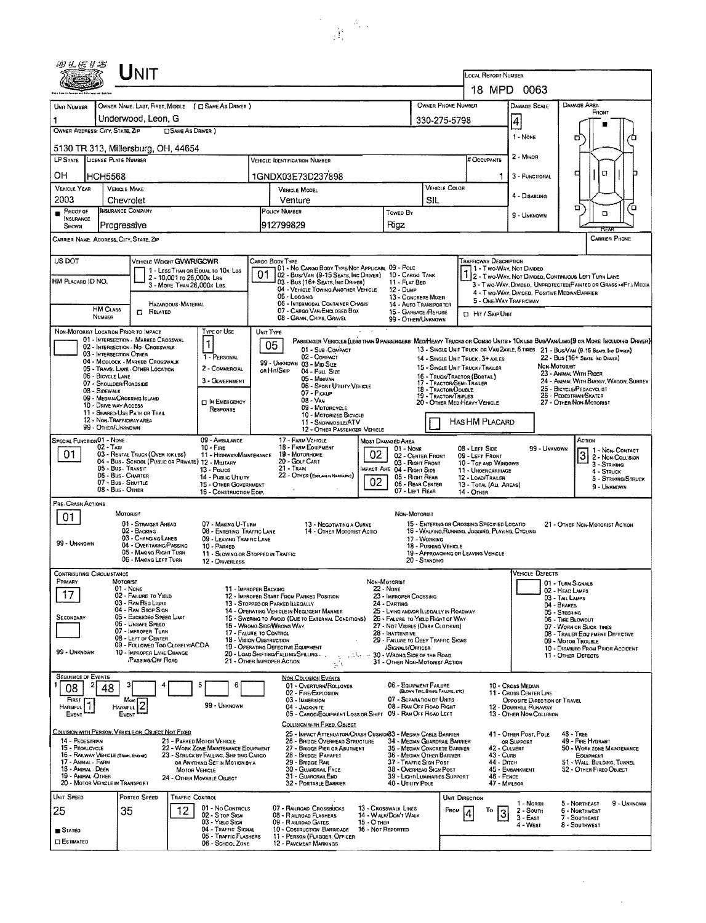| 四丛树杉宫                                                                                                                                                                                                                                    |                                                                                                                                                       | Unit                                                                  |                                       |                                                         |                                                                                      |                                                                                                  |                                       |                                                                                                                                                              |                                                                                                                                                                                  | <b>LOCAL REPORT NUMBER</b>                                          |                                                                                                                   |                                                        |                                                                                                                                |  |  |  |
|------------------------------------------------------------------------------------------------------------------------------------------------------------------------------------------------------------------------------------------|-------------------------------------------------------------------------------------------------------------------------------------------------------|-----------------------------------------------------------------------|---------------------------------------|---------------------------------------------------------|--------------------------------------------------------------------------------------|--------------------------------------------------------------------------------------------------|---------------------------------------|--------------------------------------------------------------------------------------------------------------------------------------------------------------|----------------------------------------------------------------------------------------------------------------------------------------------------------------------------------|---------------------------------------------------------------------|-------------------------------------------------------------------------------------------------------------------|--------------------------------------------------------|--------------------------------------------------------------------------------------------------------------------------------|--|--|--|
|                                                                                                                                                                                                                                          |                                                                                                                                                       |                                                                       |                                       |                                                         |                                                                                      |                                                                                                  |                                       |                                                                                                                                                              |                                                                                                                                                                                  |                                                                     | 18 MPD 0063                                                                                                       |                                                        |                                                                                                                                |  |  |  |
| Unit Number                                                                                                                                                                                                                              |                                                                                                                                                       |                                                                       |                                       | OWNER NAME: LAST, FIRST, MIDDLE ( E SAME AS DRIVER )    |                                                                                      |                                                                                                  |                                       |                                                                                                                                                              |                                                                                                                                                                                  | OWNER PHONE NUMBER                                                  | DAMAGE SCALE                                                                                                      |                                                        | DAMAGE AREA                                                                                                                    |  |  |  |
| Underwood, Leon, G                                                                                                                                                                                                                       |                                                                                                                                                       |                                                                       |                                       |                                                         |                                                                                      |                                                                                                  |                                       |                                                                                                                                                              |                                                                                                                                                                                  | 330-275-5798                                                        |                                                                                                                   | FRONT<br>4                                             |                                                                                                                                |  |  |  |
| OWNER ADDRESS: CITY, STATE, ZIP<br><b>CISAME AS DRIVER</b>                                                                                                                                                                               |                                                                                                                                                       |                                                                       |                                       |                                                         |                                                                                      |                                                                                                  |                                       |                                                                                                                                                              |                                                                                                                                                                                  |                                                                     | 1 - NONE                                                                                                          | о                                                      |                                                                                                                                |  |  |  |
| 5130 TR 313, Millersburg, OH, 44654                                                                                                                                                                                                      |                                                                                                                                                       |                                                                       |                                       |                                                         |                                                                                      |                                                                                                  |                                       |                                                                                                                                                              |                                                                                                                                                                                  |                                                                     |                                                                                                                   |                                                        |                                                                                                                                |  |  |  |
| <b>LP STATE</b><br>LICENSE PLATE NUMBER<br><b>VEHICLE IDENTIFICATION NUMBER</b>                                                                                                                                                          |                                                                                                                                                       |                                                                       |                                       |                                                         |                                                                                      |                                                                                                  |                                       |                                                                                                                                                              |                                                                                                                                                                                  |                                                                     | # Occupants                                                                                                       | 2 - MINOR                                              |                                                                                                                                |  |  |  |
| он                                                                                                                                                                                                                                       | HCH5568                                                                                                                                               |                                                                       |                                       |                                                         |                                                                                      | 1GNDX03E73D237898                                                                                |                                       |                                                                                                                                                              |                                                                                                                                                                                  |                                                                     | ٦                                                                                                                 | 3 - FUNCTIONAL                                         | α<br>⋴                                                                                                                         |  |  |  |
| <b>VEHICLE YEAR</b><br>2003                                                                                                                                                                                                              | <b>VEHICLE MAKE</b>                                                                                                                                   |                                                                       |                                       |                                                         |                                                                                      | <b>VEHICLE MODEL</b><br>Venture                                                                  |                                       |                                                                                                                                                              | VEHICLE COLOR                                                                                                                                                                    |                                                                     |                                                                                                                   | 4 - DISABLING                                          |                                                                                                                                |  |  |  |
| Chevrolet<br><b>INSURANCE COMPANY</b><br>PROOF OF                                                                                                                                                                                        |                                                                                                                                                       |                                                                       |                                       |                                                         |                                                                                      | POLICY NUMBER<br>Towed By                                                                        |                                       |                                                                                                                                                              | SIL                                                                                                                                                                              |                                                                     |                                                                                                                   |                                                        | ō<br>۵<br>۵                                                                                                                    |  |  |  |
| INSURANCE<br>Progressive<br>SHOWN                                                                                                                                                                                                        |                                                                                                                                                       |                                                                       |                                       |                                                         |                                                                                      | 912799829<br>Rigz                                                                                |                                       |                                                                                                                                                              |                                                                                                                                                                                  |                                                                     | 9 - Unknown                                                                                                       |                                                        | FTFX                                                                                                                           |  |  |  |
| <b>CARRIER PHONE</b><br>CARRIER NAME, ADDRESS, CITY, STATE, ZIP                                                                                                                                                                          |                                                                                                                                                       |                                                                       |                                       |                                                         |                                                                                      |                                                                                                  |                                       |                                                                                                                                                              |                                                                                                                                                                                  |                                                                     |                                                                                                                   |                                                        |                                                                                                                                |  |  |  |
| US DOT<br>TRAFFICWAY DESCRIPTION<br>VEHICLE WEIGHT GVWR/GCWR<br>Cargo Body Type                                                                                                                                                          |                                                                                                                                                       |                                                                       |                                       |                                                         |                                                                                      |                                                                                                  |                                       |                                                                                                                                                              |                                                                                                                                                                                  |                                                                     |                                                                                                                   |                                                        |                                                                                                                                |  |  |  |
|                                                                                                                                                                                                                                          |                                                                                                                                                       |                                                                       | 2 - 10,001 то 26,000к Las             | 1 - LESS THAN OR EQUAL TO 10K LBS                       | 01                                                                                   | 01 - No CARGO BODY TYPE/NOT APPLICABL 09 - POLE<br>02 - Bus/Van (9-15 Seats, Inc Driver)         |                                       | 1 - Two Way, Not Divided<br>10 - CARGO TANK<br>11 - FLAT BED                                                                                                 |                                                                                                                                                                                  |                                                                     |                                                                                                                   |                                                        | 2 - Two-WAY, NOT DIVIDED, CONTINUOUS LEFT TURN LANE                                                                            |  |  |  |
| HM PLACARD ID NO.                                                                                                                                                                                                                        |                                                                                                                                                       |                                                                       | 3 - MORE THAN 26,000K LBS.            |                                                         | 03 - Bus (16+ Seats, Inc Driver)<br>04 - VEHICLE TOWING ANOTHER VEHICLE<br>12 - DUMP |                                                                                                  |                                       |                                                                                                                                                              |                                                                                                                                                                                  |                                                                     | 3 - Two-Way, Divideo, UNPROTECTEO (PAINTED OR GRASS >4FT.) MEDIA<br>4 - Two-Way, Divided, Positive Median Barrier |                                                        |                                                                                                                                |  |  |  |
|                                                                                                                                                                                                                                          | <b>HM CLASS</b>                                                                                                                                       |                                                                       | HAZARDOUS MATERIAL                    |                                                         |                                                                                      | 05 - Logging<br>06 - INTERMODAL CONTAINER CHASIS                                                 |                                       | 13 - CONCRETE MIXER<br>14 - Auto Transporter                                                                                                                 |                                                                                                                                                                                  |                                                                     | 5 - ONE WAY TRAFFICWAY                                                                                            |                                                        |                                                                                                                                |  |  |  |
|                                                                                                                                                                                                                                          | NUMBER                                                                                                                                                | RELATED<br>$\Box$                                                     |                                       |                                                         |                                                                                      | 07 - CARGO VAN/ENCLOSED BOX<br>08 - GRAIN, CHIPS, GRAVEL                                         |                                       | 15 - GARBAGE /REFUSE<br>99 - OTHER/UNKNOWN                                                                                                                   |                                                                                                                                                                                  | <b>D</b> Hr / Skip Unit                                             |                                                                                                                   |                                                        |                                                                                                                                |  |  |  |
| NON-MOTORIST LOCATION PRIOR TO IMPACT                                                                                                                                                                                                    |                                                                                                                                                       | 01 - INTERSECTION - MARKED CROSSWAL                                   |                                       | Type of Use                                             | UNIT TYPE                                                                            |                                                                                                  | $\sim 1$                              |                                                                                                                                                              |                                                                                                                                                                                  |                                                                     |                                                                                                                   |                                                        | PASSENGER VEHICLES (LESS THAN 9 PASSENGERS MEDIHEAVY TRUCKS OR COMBO UNITS > 10 K LBS BUS/VAN/LIMO(9 OR MORE INCLUDING DRIVER) |  |  |  |
|                                                                                                                                                                                                                                          | 03 - INTERSECTION OTHER                                                                                                                               | 02 - INTERSECTION - NO CROSSWALK                                      |                                       | 1                                                       |                                                                                      | 05<br>01 - SUB-COMPACT                                                                           |                                       |                                                                                                                                                              |                                                                                                                                                                                  |                                                                     |                                                                                                                   |                                                        | 13 - SINGLE UNIT TRUCK OR VAN ZAXLE, 6 TIRES 21 - BUS/VAN (9-15 SEATS INC DAMER)                                               |  |  |  |
|                                                                                                                                                                                                                                          |                                                                                                                                                       | 04 - MIDBLOCK - MARKED CROSSWALK<br>05 - TRAVEL LANE - OTHER LOCATION |                                       | 1 - PERSONAL<br>2 - COMMERCIAL                          |                                                                                      | 02 - COMPACT<br>99 - UNKNOWN 03 - MID SIZE<br>OR HIT/SKIP<br>04 - Full Size                      |                                       |                                                                                                                                                              |                                                                                                                                                                                  | 14 - SINGLE UNIT TRUCK; 3+ AXLES<br>15 - SINGLE UNIT TRUCK/ TRAILER |                                                                                                                   | Non-Moroniar                                           | 22 - BUS (16+ Seats, Inc Driver)                                                                                               |  |  |  |
|                                                                                                                                                                                                                                          | 06 - BICYCLE LANE<br>07 - SHOULDER/ROADSIDE                                                                                                           |                                                                       |                                       | 3 - GOVERNMENT                                          |                                                                                      | 05 - MINIVAN<br>06 - SPORT UTILITY VEHICLE                                                       |                                       |                                                                                                                                                              |                                                                                                                                                                                  | 16 - TRUCK/TRACTOR (BOBTAIL)<br>17 - TRACTOR/SEMI-TRAILER           | 23 - Animal With Rider<br>24 - ANIMAL WITH BUGGY, WAGON, SURREY                                                   |                                                        |                                                                                                                                |  |  |  |
| 08 - SIDEWALK<br>07 - Pickup<br>09 - MEDIAN/CROSSING ISLAND<br>08 - VAN                                                                                                                                                                  |                                                                                                                                                       |                                                                       |                                       |                                                         |                                                                                      |                                                                                                  |                                       | 25 - BICYCLE/PEDACYCLIST<br>18 - TRACTOR/DOUBLE<br>26 - Pedestrian/Skater<br>19 - TRACTOR/TRIPLES<br>27 - Other Non-Motorist<br>20 - OTHER MEDIMEAVY VEHICLE |                                                                                                                                                                                  |                                                                     |                                                                                                                   |                                                        |                                                                                                                                |  |  |  |
| <b>D</b> IN EMERGENCY<br>10 - DRIVE WAY ACCESS<br>Response<br>11 - Shared-Use Path or Trail                                                                                                                                              |                                                                                                                                                       |                                                                       |                                       |                                                         |                                                                                      | 09 - MOTORCYCLE<br>10 - MOTORIZED BICYCLE                                                        |                                       |                                                                                                                                                              |                                                                                                                                                                                  |                                                                     |                                                                                                                   |                                                        |                                                                                                                                |  |  |  |
| 12 - NON-TRAFFICWAY AREA<br>HAS HM PLACARD<br>11 - SNOWMOBILE/ATV<br>99 - OTHER/UNKNOWN<br>12 - OTHER PASSENGER VEHICLE                                                                                                                  |                                                                                                                                                       |                                                                       |                                       |                                                         |                                                                                      |                                                                                                  |                                       |                                                                                                                                                              |                                                                                                                                                                                  |                                                                     |                                                                                                                   |                                                        |                                                                                                                                |  |  |  |
| SPECIAL FUNCTION 01 - NONE<br>$02 - T_Ax_1$                                                                                                                                                                                              | 17 - FARM VEHICLE<br>18 - FARM EQUIPMENT                                                                                                              | Most Damaged Area                                                     | 01 - None                             |                                                         | 08 - Left Side                                                                       |                                                                                                  | 99 - UNKNOWN                          | Астюн                                                                                                                                                        |                                                                                                                                                                                  |                                                                     |                                                                                                                   |                                                        |                                                                                                                                |  |  |  |
| 01<br>03 - RENTAL TRUCK (OVER 10K LBS)                                                                                                                                                                                                   | 19 - MOTORHOME<br>11 - HIGHWAY/MAINTENANCE<br>20 - GOLF CART                                                                                          |                                                                       | 02 - CENTER FRONT<br>03 - Right Front |                                                         | 09 - LEFT FRONT<br>10 - TOP AND WINDOWS                                              |                                                                                                  |                                       | 1 - Non-Contact<br>$\overline{3}$<br>2 - Non-Collision<br>$3 -$ STRIKING                                                                                     |                                                                                                                                                                                  |                                                                     |                                                                                                                   |                                                        |                                                                                                                                |  |  |  |
| 04 - Bus - School (Public or Private) 12 - Military<br>05 - Bus. TRANSIT<br>$21 -$ Train<br>IMPACT ARE 04 - RIGHT SIDE<br>13 - Pouce<br>06 - Bus - Charter<br>22 - OTHER (EXPLAININ NARRATIVE)<br>14 - PUBLIC UTILITY<br>05 - Right Rear |                                                                                                                                                       |                                                                       |                                       |                                                         |                                                                                      |                                                                                                  |                                       |                                                                                                                                                              | 11 - UNOERCARRIAGE<br>12 - LOAD/TRAILER                                                                                                                                          |                                                                     |                                                                                                                   | $4 -$ Struck<br>5 - STRIKING/STRUCK                    |                                                                                                                                |  |  |  |
| 02<br>07 - Bus - SHUTTLE<br>06 - REAR CENTER<br>15 - OTHER GOVERNMENT<br>08 - Bus - OTHER<br>07 - LEFT REAR<br>16 - CONSTRUCTION EOIP.                                                                                                   |                                                                                                                                                       |                                                                       |                                       |                                                         |                                                                                      |                                                                                                  |                                       |                                                                                                                                                              |                                                                                                                                                                                  | 13 - TOTAL (ALL AREAS)<br>14 - OTHER                                |                                                                                                                   |                                                        | 9 - UNKNOWN                                                                                                                    |  |  |  |
| PRE-CRASH ACTIONS                                                                                                                                                                                                                        |                                                                                                                                                       |                                                                       |                                       |                                                         |                                                                                      |                                                                                                  |                                       |                                                                                                                                                              |                                                                                                                                                                                  |                                                                     |                                                                                                                   |                                                        |                                                                                                                                |  |  |  |
| 01                                                                                                                                                                                                                                       | MOTORIST                                                                                                                                              | 01 - STRAIGHT AHEAD                                                   |                                       | 07 - MAKING U-TURN                                      |                                                                                      | 13 - Negotiating a Curve                                                                         |                                       | NON-MOTORIST                                                                                                                                                 |                                                                                                                                                                                  | 15 - ENTERING OR CROSSING SPECIFIED LOCATIO                         |                                                                                                                   |                                                        | 21 - OTHER NON-MOTORIST ACTION                                                                                                 |  |  |  |
|                                                                                                                                                                                                                                          |                                                                                                                                                       | 02 - BACKING<br>03 - CHANGING LANES                                   |                                       | 08 - ENTERING TRAFFIC LANE<br>09 - LEAVING TRAFFIC LANE |                                                                                      | 14 - OTHER MOTORIST ACTIO                                                                        |                                       |                                                                                                                                                              | 17 - WORKING                                                                                                                                                                     | 16 - WALKING RUNNING, JOGGING, PLAYING, CYCLING                     |                                                                                                                   |                                                        |                                                                                                                                |  |  |  |
| 99 - Unknown                                                                                                                                                                                                                             |                                                                                                                                                       | 04 - OVERTAKING/PASSING<br>05 - MAKING RIGHT TURN                     |                                       | 10 - PARKED<br>11 - SLOWING OR STOPPED IN TRAFFIC       |                                                                                      |                                                                                                  |                                       |                                                                                                                                                              | 18 - Pushing Vehicle                                                                                                                                                             | 19 - APPROACHING OR LEAVING VEHICLE                                 |                                                                                                                   |                                                        |                                                                                                                                |  |  |  |
| <b>CONTRIBUTING CIRCUMSTANCE</b>                                                                                                                                                                                                         |                                                                                                                                                       | 06 - MAKING LEFT TURN                                                 |                                       | 12 - DRIVERLESS                                         |                                                                                      |                                                                                                  |                                       |                                                                                                                                                              | 20 - Standing                                                                                                                                                                    |                                                                     |                                                                                                                   | VEHICLE DEFECTS                                        |                                                                                                                                |  |  |  |
| PRIMARY                                                                                                                                                                                                                                  | MOTORIST<br>01 - None                                                                                                                                 |                                                                       |                                       | 11 - IMPROPER BACKING                                   |                                                                                      |                                                                                                  | NON-MOTORIST<br>22 - None             |                                                                                                                                                              |                                                                                                                                                                                  | 01 - TURN SIGNALS                                                   |                                                                                                                   |                                                        |                                                                                                                                |  |  |  |
|                                                                                                                                                                                                                                          |                                                                                                                                                       | 02 - FAILURE TO YIELD<br>03 - RAN RED LIGHT                           |                                       |                                                         |                                                                                      | 12 - IMPROPER START FROM PARKED POSITION<br>13 - Stopped or PARKED LLEGALLY                      | 24 - DARTING                          | 23 - IMPROPER CROSSING                                                                                                                                       |                                                                                                                                                                                  |                                                                     |                                                                                                                   |                                                        | 02 - Head LAMPS<br>03 - TAIL LAMPS                                                                                             |  |  |  |
| <b>SECONDARY</b>                                                                                                                                                                                                                         |                                                                                                                                                       | 04 - Ran Stop Sign<br>05 - Exceedeo Speed Limit                       |                                       |                                                         |                                                                                      | 14 - OPERATING VEHICLE IN NEGLIGENT MANNER<br>15 - Swering to Avoid (Due to External Conditions) |                                       | 25 - LYING AND/OR ILLEGALLY IN ROADWAY<br>26 - FALURE TO YIELD RIGHT OF WAY                                                                                  |                                                                                                                                                                                  |                                                                     | 04 - BRAKES<br>05 - STEERING                                                                                      |                                                        |                                                                                                                                |  |  |  |
|                                                                                                                                                                                                                                          |                                                                                                                                                       | 06 - Unsafe Speeo<br>07 - IMPROPER TURN                               |                                       | 17 - FALURE TO CONTROL                                  |                                                                                      | 16 - WRONG SIDE/WRONG WAY                                                                        |                                       | 27 - NDT VISIBLE (DARK CLOTHING)<br>28 - INATTENTIVE                                                                                                         |                                                                                                                                                                                  |                                                                     |                                                                                                                   | 06 - TIRE BLOWOUT<br>07 - WORN OR SLICK TIRES          |                                                                                                                                |  |  |  |
|                                                                                                                                                                                                                                          |                                                                                                                                                       | 08 - LEFT OF CENTER<br>09 - FOLLOWED TOO CLOSELY/ACDA                 |                                       | 18 - Vision Oastruction                                 |                                                                                      | 19 - OPERATING DEFECTIVE EQUIPMENT                                                               |                                       | 29 - FAILURE TO OBEY TRAFFIC SIGNS<br>/SIGNALS/OFFICER                                                                                                       |                                                                                                                                                                                  |                                                                     |                                                                                                                   | 08 - TRAILER EQUIPMENT DEFECTIVE<br>09 - Motor Trouble |                                                                                                                                |  |  |  |
| 99 - Unknown                                                                                                                                                                                                                             |                                                                                                                                                       | 10 - IMPROPER LANE CHANGE<br><b>PASSING OFF ROAD</b>                  |                                       |                                                         |                                                                                      | 20 - LOAD SHIFTING/FALLING/SPILLING<br>21 - OTHER IMPROPER ACTION                                | Little 130 - Wrights Side of the Road | 31 - OTHER NON-MOTORIST ACTION                                                                                                                               |                                                                                                                                                                                  |                                                                     | 10 - DISABLEO FROM PRIOR ACCIDENT<br>11 - OTHER DEFECTS                                                           |                                                        |                                                                                                                                |  |  |  |
| <b>SEQUENCE OF EVENTS</b>                                                                                                                                                                                                                |                                                                                                                                                       |                                                                       |                                       |                                                         |                                                                                      | <b>NON-COLLISION EVENTS</b>                                                                      |                                       |                                                                                                                                                              |                                                                                                                                                                                  |                                                                     |                                                                                                                   |                                                        |                                                                                                                                |  |  |  |
| 08                                                                                                                                                                                                                                       | 48                                                                                                                                                    |                                                                       |                                       |                                                         |                                                                                      | 01 - OVERTURN/ROLLOVER<br>02 - FIRE/EXPLOSION                                                    |                                       | 06 - EQUIPMENT FAILURE                                                                                                                                       | (BLOWN TIRE, BRAKE FAILURE, ETC)                                                                                                                                                 |                                                                     | 10 - Cross Median<br>11 - Cross Center Line                                                                       |                                                        |                                                                                                                                |  |  |  |
| FIRST<br>HARMFUL <sup>1</sup>                                                                                                                                                                                                            | Most<br>HARMFUL <sup>17</sup> 2                                                                                                                       |                                                                       |                                       | 99 - Unknown                                            |                                                                                      | 03 - IMMERSION<br>04 - JACKKNIFE                                                                 |                                       | 07 - SEPARATION OF UNITS<br>08 - RAN OFF ROAD RIGHT                                                                                                          |                                                                                                                                                                                  |                                                                     | 12 - DOWNHILL RURAWAY                                                                                             | OPPOSITE DIRECTION OF TRAVEL                           |                                                                                                                                |  |  |  |
| EVENT                                                                                                                                                                                                                                    | EVENT                                                                                                                                                 |                                                                       |                                       |                                                         |                                                                                      | 05 - CARGO/EQUIPMENT LOSS OR SHIFT 09 - RAN OFF ROAD LEFT<br>COLLISION WITH FIXED, OBJECT        |                                       |                                                                                                                                                              |                                                                                                                                                                                  |                                                                     | 13 - OTHER NON-COLLISION                                                                                          |                                                        |                                                                                                                                |  |  |  |
| COLUSION WITH PERSON, VEHICLE OR OBJECT NOT FIXED<br>14 - PEDESTRIAN                                                                                                                                                                     |                                                                                                                                                       |                                                                       |                                       | 21 - PARKED MOTOR VEHICLE                               |                                                                                      | 25 - IMPACT ATTENUATOR/CRASH CUSHOIB3 - MEDIAN CABLE BARRIER<br>26 - BRIDGE OVERHEAD STRUCTURE   |                                       |                                                                                                                                                              |                                                                                                                                                                                  |                                                                     | 41 - OTHER POST, POLE                                                                                             |                                                        | $48 -$ TREE<br>49 - FIRE HYDRANT                                                                                               |  |  |  |
| 15 - PEOALCYCLE                                                                                                                                                                                                                          |                                                                                                                                                       |                                                                       |                                       | 22 - WORK ZONE MAINTENANCE EQUIPMENT                    |                                                                                      | 27 - BRIOGE PIER OR ABUTMENT<br>28 - BRIDGE PARAPET                                              |                                       |                                                                                                                                                              | 34 - MEDIAN GUARDRAIL BARRIER<br>OR SUPPORT<br>42 - CULVERT<br>50 - WORK ZONE MAINTENANCE<br>35 - MEDIAN CONCRETE BARRIER<br>36 - MEDIAN OTHER BARRIER<br>43 - Cura<br>EOUIPMENT |                                                                     |                                                                                                                   |                                                        |                                                                                                                                |  |  |  |
| 16 - RAILWAY VEHICLE (TRAN, ENOME)<br>23 - STRUCK BY FALLING, SHIFTING CARGO<br>29 - BRIDGE FLAIL<br>17 - Animal - Farm<br>OR ANYTHING SET IN MOTION BY A<br>18 - ANIMAL DEER<br>30 - GUARDRAIL FACE<br><b>MOTOR VEHICLE</b>             |                                                                                                                                                       |                                                                       |                                       |                                                         |                                                                                      |                                                                                                  |                                       |                                                                                                                                                              | 44 - Олтон<br>37 - TRAFFIC SIGN POST<br>51 - WALL, BUILDING, TUNNEL<br>45 - EMBANKMENT<br>38 - Overhead Sign Post<br>52 - OTHER FIXEO OBJECT                                     |                                                                     |                                                                                                                   |                                                        |                                                                                                                                |  |  |  |
| 19 - ANIMAL OTHER<br>39 - LIGHT/LUMINARIES SUPPORT<br>31 - GUARORAILEND<br>$46 -$ FENCE<br>24 - OTHER MOVABLE OBJECT<br>20 - MOTOR VEHICLE IN TRANSPORT<br>32 - PORTABLE BARRIER<br>40 - UTILITY POLE<br>47 - MAILBOX                    |                                                                                                                                                       |                                                                       |                                       |                                                         |                                                                                      |                                                                                                  |                                       |                                                                                                                                                              |                                                                                                                                                                                  |                                                                     |                                                                                                                   |                                                        |                                                                                                                                |  |  |  |
| UNIT SPEED                                                                                                                                                                                                                               |                                                                                                                                                       | POSTED SPEED                                                          | <b>TRAFFIC CONTROL</b>                |                                                         |                                                                                      |                                                                                                  |                                       |                                                                                                                                                              |                                                                                                                                                                                  | UNIT DIRECTION                                                      | 1 - North                                                                                                         |                                                        | 5 - NORTHEAST<br>9 - UNKNOWN                                                                                                   |  |  |  |
| 25                                                                                                                                                                                                                                       | 01 - No CONTROLS<br>07 - RAILROAD CROSSBUCKS<br>13 - Crosswalk Lines<br>12<br>35<br>02 - S TOP SIGN<br>08 - RAILROAD FLASHERS<br>14 - Walk/Don't Walk |                                                                       |                                       |                                                         |                                                                                      |                                                                                                  |                                       |                                                                                                                                                              | Frow<br>То                                                                                                                                                                       | 2 - South<br>3<br>$3 - EAST$                                        |                                                                                                                   | 6 - NORTHWEST<br>7 - SOUTHEAST                         |                                                                                                                                |  |  |  |
| <b>STATEO</b>                                                                                                                                                                                                                            | 03 - YIELO SIGN<br>09 - RAILROAO GATES<br>$15 - C$ then<br>04 - TRAFFIC SIGNAL<br>10 - COSTRUCTION BARRICADE<br>16 - Not Reported                     |                                                                       |                                       |                                                         |                                                                                      |                                                                                                  |                                       |                                                                                                                                                              |                                                                                                                                                                                  | 4 - West                                                            |                                                                                                                   | 8 - Southwest                                          |                                                                                                                                |  |  |  |
| <b>CI ESTIMATED</b>                                                                                                                                                                                                                      |                                                                                                                                                       |                                                                       |                                       | 05 - TRAFFIC FLASHERS<br>06 - SCHOOL ZONE               |                                                                                      | 11 - PERSON (FLAGGER, OFFICER<br><b>12 - PAVEMENT MARKINGS</b>                                   |                                       |                                                                                                                                                              |                                                                                                                                                                                  |                                                                     |                                                                                                                   |                                                        |                                                                                                                                |  |  |  |

 $\label{eq:2} \begin{split} \mathcal{L} &= \frac{1}{2}\sum_{i=1}^{N} \frac{d_{i}}{2} \mathcal{L}_{i} \, , \end{split}$